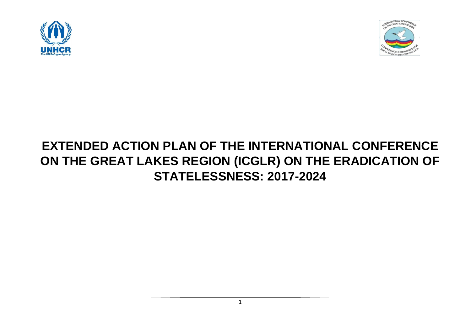



# **EXTENDED ACTION PLAN OF THE INTERNATIONAL CONFERENCE ON THE GREAT LAKES REGION (ICGLR) ON THE ERADICATION OF STATELESSNESS: 2017-2024**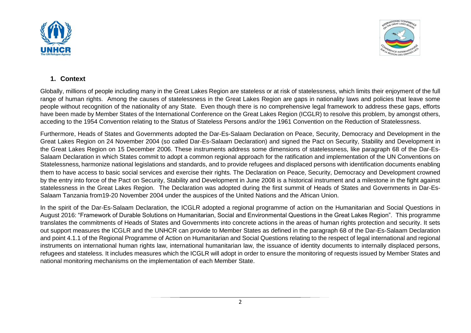



## **1. Context**

Globally, millions of people including many in the Great Lakes Region are stateless or at risk of statelessness, which limits their enjoyment of the full range of human rights. Among the causes of statelessness in the Great Lakes Region are gaps in nationality laws and policies that leave some people without recognition of the nationality of any State. Even though there is no comprehensive legal framework to address these gaps, efforts have been made by Member States of the International Conference on the Great Lakes Region (ICGLR) to resolve this problem, by amongst others, acceding to the 1954 Convention relating to the Status of Stateless Persons and/or the 1961 Convention on the Reduction of Statelessness.

Furthermore, Heads of States and Governments adopted the Dar-Es-Salaam Declaration on Peace, Security, Democracy and Development in the Great Lakes Region on 24 November 2004 (so called Dar-Es-Salaam Declaration) and signed the Pact on Security, Stability and Development in the Great Lakes Region on 15 December 2006. These instruments address some dimensions of statelessness, like paragraph 68 of the Dar-Es-Salaam Declaration in which States commit to adopt a common regional approach for the ratification and implementation of the UN Conventions on Statelessness, harmonize national legislations and standards, and to provide refugees and displaced persons with identification documents enabling them to have access to basic social services and exercise their rights. The Declaration on Peace, Security, Democracy and Development crowned by the entry into force of the Pact on Security, Stability and Development in June 2008 is a historical instrument and a milestone in the fight against statelessness in the Great Lakes Region. The Declaration was adopted during the first summit of Heads of States and Governments in Dar-Es-Salaam Tanzania from19-20 November 2004 under the auspices of the United Nations and the African Union.

In the spirit of the Dar-Es-Salaam Declaration, the ICGLR adopted a regional programme of action on the Humanitarian and Social Questions in August 2016: "Framework of Durable Solutions on Humanitarian, Social and Environmental Questions in the Great Lakes Region". This programme translates the commitments of Heads of States and Governments into concrete actions in the areas of human rights protection and security. It sets out support measures the ICGLR and the UNHCR can provide to Member States as defined in the paragraph 68 of the Dar-Es-Salaam Declaration and point 4.1.1 of the Regional Programme of Action on Humanitarian and Social Questions relating to the respect of legal international and regional instruments on international human rights law, international humanitarian law, the issuance of identity documents to internally displaced persons, refugees and stateless. It includes measures which the ICGLR will adopt in order to ensure the monitoring of requests issued by Member States and national monitoring mechanisms on the implementation of each Member State.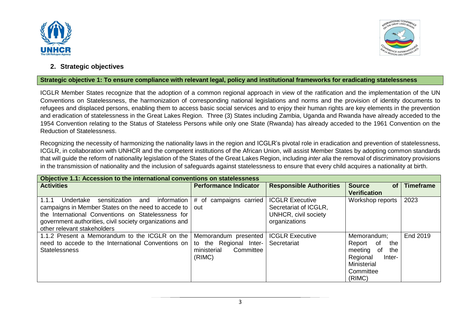



### **2. Strategic objectives**

#### **Strategic objective 1: To ensure compliance with relevant legal, policy and institutional frameworks for eradicating statelessness**

ICGLR Member States recognize that the adoption of a common regional approach in view of the ratification and the implementation of the UN Conventions on Statelessness, the harmonization of corresponding national legislations and norms and the provision of identity documents to refugees and displaced persons, enabling them to access basic social services and to enjoy their human rights are key elements in the prevention and eradication of statelessness in the Great Lakes Region. Three (3) States including Zambia, Uganda and Rwanda have already acceded to the 1954 Convention relating to the Status of Stateless Persons while only one State (Rwanda) has already acceded to the 1961 Convention on the Reduction of Statelessness.

Recognizing the necessity of harmonizing the nationality laws in the region and ICGLR's pivotal role in eradication and prevention of statelessness, ICGLR, in collaboration with UNHCR and the competent institutions of the African Union, will assist Member States by adopting common standards that will guide the reform of nationality legislation of the States of the Great Lakes Region, including *inter alia* the removal of discriminatory provisions in the transmission of nationality and the inclusion of safeguards against statelessness to ensure that every child acquires a nationality at birth.

| Objective 1.1: Accession to the international conventions on statelessness                                                                                                                                                                                       |                                                                                         |                                                                                          |                                                                                                                        |                  |
|------------------------------------------------------------------------------------------------------------------------------------------------------------------------------------------------------------------------------------------------------------------|-----------------------------------------------------------------------------------------|------------------------------------------------------------------------------------------|------------------------------------------------------------------------------------------------------------------------|------------------|
| <b>Activities</b>                                                                                                                                                                                                                                                | <b>Performance Indicator</b>                                                            | <b>Responsible Authorities</b>                                                           | <b>Source</b><br><b>of</b><br><b>Verification</b>                                                                      | <b>Timeframe</b> |
| information<br>1.1.1<br>sensitization<br>Undertake<br>and<br>campaigns in Member States on the need to accede to<br>the International Conventions on Statelessness for<br>government authorities, civil society organizations and<br>other relevant stakeholders | # of campaigns carried<br>out                                                           | <b>ICGLR Executive</b><br>Secretariat of ICGLR,<br>UNHCR, civil society<br>organizations | Workshop reports                                                                                                       | 2023             |
| 1.1.2 Present a Memorandum to the ICGLR on the<br>need to accede to the International Conventions on<br><b>Statelessness</b>                                                                                                                                     | Memorandum presented<br>the Regional Inter-<br>to<br>ministerial<br>Committee<br>(RIMC) | <b>ICGLR Executive</b><br>Secretariat                                                    | Memorandum;<br>0f<br>the<br>Report<br>meeting<br>the<br>of<br>Regional<br>Inter-<br>Ministerial<br>Committee<br>(RIMC) | End 2019         |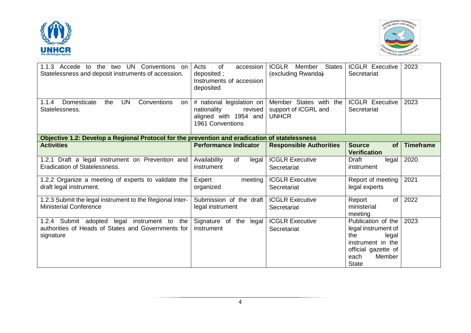



| Conventions<br>1.1.3 Accede to<br>UN.<br>the<br>two<br>.on<br>Statelessness and deposit instruments of accession.        | <b>of</b><br>accession<br>Acts<br>deposited;<br>Instruments of accession<br>deposited            | <b>ICGLR</b><br><b>States</b><br>Member<br>(excluding Rwanda)  | <b>ICGLR Executive</b><br>Secretariat                                                                                                   | 2023             |
|--------------------------------------------------------------------------------------------------------------------------|--------------------------------------------------------------------------------------------------|----------------------------------------------------------------|-----------------------------------------------------------------------------------------------------------------------------------------|------------------|
| <b>UN</b><br>1.1.4<br>Domesticate<br>Conventions<br>the<br><b>on</b><br>Statelessness.                                   | # national legislation on<br>nationality<br>revised<br>aligned with 1954 and<br>1961 Conventions | Member States with the<br>support of ICGRL and<br><b>UNHCR</b> | <b>ICGLR Executive</b><br>Secretariat                                                                                                   | 2023             |
| Objective 1.2: Develop a Regional Protocol for the prevention and eradication of statelessness                           |                                                                                                  |                                                                |                                                                                                                                         |                  |
| <b>Activities</b>                                                                                                        | <b>Performance Indicator</b>                                                                     | <b>Responsible Authorities</b>                                 | <b>Source</b><br><b>of</b><br><b>Verification</b>                                                                                       | <b>Timeframe</b> |
| 1.2.1 Draft a legal instrument on Prevention and<br><b>Eradication of Statelessness.</b>                                 | Availability<br>of<br>legal<br>instrument                                                        | <b>ICGLR Executive</b><br>Secretariat                          | Draft<br>legal<br>instrument                                                                                                            | 2020             |
| 1.2.2 Organize a meeting of experts to validate the<br>draft legal instrument.                                           | Expert<br>meeting<br>organized                                                                   | <b>ICGLR Executive</b><br>Secretariat                          | Report of meeting<br>legal experts                                                                                                      | 2021             |
| 1.2.3 Submit the legal instrument to the Regional Inter-<br><b>Ministerial Conference</b>                                | Submission of the draft<br>legal instrument                                                      | <b>ICGLR Executive</b><br>Secretariat                          | of<br>Report<br>ministerial<br>meeting                                                                                                  | 2022             |
| 1.2.4 Submit adopted<br>legal<br>instrument to<br>the<br>authorities of Heads of States and Governments for<br>signature | Signature of<br>the legal<br>instrument                                                          | <b>ICGLR Executive</b><br>Secretariat                          | Publication of the<br>legal instrument of<br>the<br>legal<br>instrument in the<br>official gazette of<br>Member<br>each<br><b>State</b> | 2023             |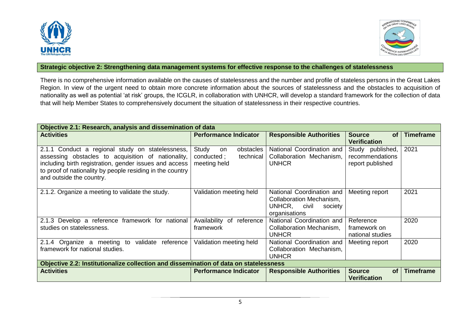



#### **Strategic objective 2: Strengthening data management systems for effective response to the challenges of statelessness**

There is no comprehensive information available on the causes of statelessness and the number and profile of stateless persons in the Great Lakes Region. In view of the urgent need to obtain more concrete information about the sources of statelessness and the obstacles to acquisition of nationality as well as potential 'at risk' groups, the ICGLR, in collaboration with UNHCR, will develop a standard framework for the collection of data that will help Member States to comprehensively document the situation of statelessness in their respective countries.

| Objective 2.1: Research, analysis and dissemination of data                                                                                                                                                                                               |                                                                     |                                                                                                      |                                                         |                  |
|-----------------------------------------------------------------------------------------------------------------------------------------------------------------------------------------------------------------------------------------------------------|---------------------------------------------------------------------|------------------------------------------------------------------------------------------------------|---------------------------------------------------------|------------------|
| <b>Activities</b>                                                                                                                                                                                                                                         | <b>Performance Indicator</b>                                        | <b>Responsible Authorities</b>                                                                       | <b>Source</b><br><b>of</b><br><b>Verification</b>       | <b>Timeframe</b> |
| 2.1.1 Conduct a regional study on statelessness,<br>assessing obstacles to acquisition of nationality,<br>including birth registration, gender issues and access<br>to proof of nationality by people residing in the country<br>and outside the country. | Study<br>obstacles<br>on<br>conducted;<br>technical<br>meeting held | National Coordination and<br>Collaboration Mechanism,<br><b>UNHCR</b>                                | Study published,<br>recommendations<br>report published | 2021             |
| 2.1.2. Organize a meeting to validate the study.                                                                                                                                                                                                          | Validation meeting held                                             | National Coordination and<br>Collaboration Mechanism,<br>UNHCR,<br>civil<br>society<br>organisations | Meeting report                                          | 2021             |
| 2.1.3 Develop a reference framework for national<br>studies on statelessness.                                                                                                                                                                             | Availability of<br>reference<br>framework                           | National Coordination and<br>Collaboration Mechanism,<br><b>UNHCR</b>                                | Reference<br>framework on<br>national studies           | 2020             |
| 2.1.4 Organize a meeting to validate<br>reference<br>framework for national studies.                                                                                                                                                                      | Validation meeting held                                             | National Coordination and<br>Collaboration Mechanism,<br><b>UNHCR</b>                                | Meeting report                                          | 2020             |
| Objective 2.2: Institutionalize collection and dissemination of data on statelessness                                                                                                                                                                     |                                                                     |                                                                                                      |                                                         |                  |
| <b>Activities</b>                                                                                                                                                                                                                                         | <b>Performance Indicator</b>                                        | <b>Responsible Authorities</b>                                                                       | <b>Source</b><br><b>of</b><br><b>Verification</b>       | <b>Timeframe</b> |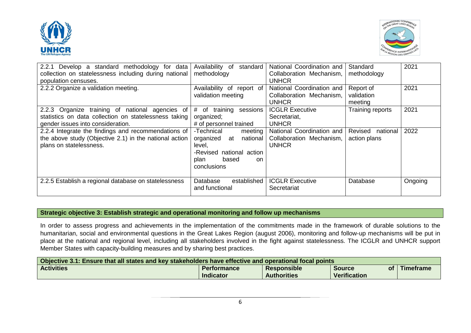



| 2.2.1 Develop a standard methodology for data<br>collection on statelessness including during national<br>population censuses.                | Availability of<br>standard<br>methodology                                                                                               | National Coordination and<br>Collaboration Mechanism.<br>UNHCR        | Standard<br>methodology             | 2021    |
|-----------------------------------------------------------------------------------------------------------------------------------------------|------------------------------------------------------------------------------------------------------------------------------------------|-----------------------------------------------------------------------|-------------------------------------|---------|
| 2.2.2 Organize a validation meeting.                                                                                                          | Availability of report of<br>validation meeting                                                                                          | National Coordination and<br>Collaboration Mechanism,<br><b>UNHCR</b> | Report of<br>validation<br>meeting  | 2021    |
| 2.2.3 Organize training of national agencies of<br>statistics on data collection on statelessness taking<br>gender issues into consideration. | #<br>of<br>training<br>sessions<br>organized;<br># of personnel trained                                                                  | <b>ICGLR Executive</b><br>Secretariat,<br><b>UNHCR</b>                | Training reports                    | 2021    |
| 2.2.4 Integrate the findings and recommendations of<br>the above study (Objective 2.1) in the national action<br>plans on statelessness.      | -Technical<br>meeting<br>organized at<br>national<br>level,<br>-Revised national action<br>based<br>plan<br><sub>on</sub><br>conclusions | National Coordination and<br>Collaboration Mechanism,<br><b>UNHCR</b> | Revised<br>national<br>action plans | 2022    |
| 2.2.5 Establish a regional database on statelessness                                                                                          | Database<br>established<br>and functional                                                                                                | <b>ICGLR Executive</b><br>Secretariat                                 | Database                            | Ongoing |

## **Strategic objective 3: Establish strategic and operational monitoring and follow up mechanisms**

In order to assess progress and achievements in the implementation of the commitments made in the framework of durable solutions to the humanitarian, social and environmental questions in the Great Lakes Region (august 2006), monitoring and follow-up mechanisms will be put in place at the national and regional level, including all stakeholders involved in the fight against statelessness. The ICGLR and UNHCR support Member States with capacity-building measures and by sharing best practices.

| Objective 3.1: Ensure that all states and key stakeholders have effective and operational focal points |                    |                    |                     |                  |
|--------------------------------------------------------------------------------------------------------|--------------------|--------------------|---------------------|------------------|
| <b>Activities</b>                                                                                      | <b>Performance</b> | Responsible        | οf<br><b>Source</b> | <b>Timeframe</b> |
|                                                                                                        | <b>Indicator</b>   | <b>Authorities</b> | Verification        |                  |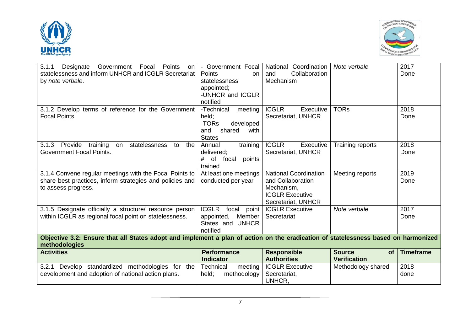



| 3.1.1<br>Designate<br>Government<br>Points<br>Focal<br><b>on</b><br>statelessness and inform UNHCR and ICGLR Secretariat<br>by note verbale.        | Government Focal<br>Points<br><b>on</b><br>statelessness<br>appointed;<br>-UNHCR and ICGLR<br>notified | National Coordination<br>Collaboration<br>and<br>Mechanism                                                      | Note verbale                                      | 2017<br>Done     |
|-----------------------------------------------------------------------------------------------------------------------------------------------------|--------------------------------------------------------------------------------------------------------|-----------------------------------------------------------------------------------------------------------------|---------------------------------------------------|------------------|
| 3.1.2 Develop terms of reference for the Government<br><b>Focal Points.</b>                                                                         | -Technical<br>meeting<br>held;<br>-TORs<br>developed<br>shared<br>and<br>with<br><b>States</b>         | <b>ICGLR</b><br>Executive<br>Secretariat, UNHCR                                                                 | <b>TORs</b>                                       | 2018<br>Done     |
| Provide<br>training<br>statelessness<br>3.1.3<br>the<br>to<br>on<br><b>Government Focal Points.</b>                                                 | training<br>Annual<br>delivered;<br>of<br>#<br>focal<br>points<br>trained                              | <b>ICGLR</b><br>Executive<br>Secretariat, UNHCR                                                                 | Training reports                                  | 2018<br>Done     |
| 3.1.4 Convene regular meetings with the Focal Points to<br>share best practices, inform strategies and policies and<br>to assess progress.          | At least one meetings<br>conducted per year                                                            | <b>National Coordination</b><br>and Collaboration<br>Mechanism,<br><b>ICGLR Executive</b><br>Secretariat, UNHCR | Meeting reports                                   | 2019<br>Done     |
| 3.1.5 Designate officially a structure/ resource person<br>within ICGLR as regional focal point on statelessness.                                   | <b>ICGLR</b><br>focal<br>point<br>Member<br>appointed,<br>States and UNHCR<br>notified                 | <b>ICGLR Executive</b><br>Secretariat                                                                           | Note verbale                                      | 2017<br>Done     |
| Objective 3.2: Ensure that all States adopt and implement a plan of action on the eradication of statelessness based on harmonized<br>methodologies |                                                                                                        |                                                                                                                 |                                                   |                  |
| <b>Activities</b>                                                                                                                                   | <b>Performance</b><br><b>Indicator</b>                                                                 | <b>Responsible</b><br><b>Authorities</b>                                                                        | <b>Source</b><br><b>of</b><br><b>Verification</b> | <b>Timeframe</b> |
| 3.2.1<br>Develop standardized methodologies for the<br>development and adoption of national action plans.                                           | Technical<br>meeting<br>held;<br>methodology                                                           | <b>ICGLR Executive</b><br>Secretariat,<br>UNHCR,                                                                | Methodology shared                                | 2018<br>done     |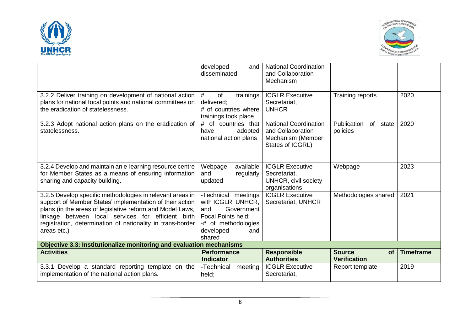



|                                                                                                                                                                                                                                                                                                                       | developed<br>and<br>disseminated                                                                                                            | <b>National Coordination</b><br>and Collaboration<br>Mechanism                             |                                                   |                  |
|-----------------------------------------------------------------------------------------------------------------------------------------------------------------------------------------------------------------------------------------------------------------------------------------------------------------------|---------------------------------------------------------------------------------------------------------------------------------------------|--------------------------------------------------------------------------------------------|---------------------------------------------------|------------------|
| 3.2.2 Deliver training on development of national action<br>plans for national focal points and national committees on<br>the eradication of statelessness.                                                                                                                                                           | #<br>of<br>trainings<br>delivered;<br># of countries where<br>trainings took place                                                          | <b>ICGLR Executive</b><br>Secretariat,<br><b>UNHCR</b>                                     | Training reports                                  | 2020             |
| 3.2.3 Adopt national action plans on the eradication of<br>statelessness.                                                                                                                                                                                                                                             | # of countries that<br>adopted<br>have<br>national action plans                                                                             | <b>National Coordination</b><br>and Collaboration<br>Mechanism (Member<br>States of ICGRL) | Publication<br>of state<br>policies               | 2020             |
| 3.2.4 Develop and maintain an e-learning resource centre<br>for Member States as a means of ensuring information<br>sharing and capacity building.                                                                                                                                                                    | available<br>Webpage<br>and<br>regularly<br>updated                                                                                         | <b>ICGLR Executive</b><br>Secretariat,<br>UNHCR, civil society<br>organisations            | Webpage                                           | 2023             |
| 3.2.5 Develop specific methodologies in relevant areas in<br>support of Member States' implementation of their action<br>plans (in the areas of legislative reform and Model Laws,<br>linkage between local services for efficient birth<br>registration, determination of nationality in trans-border<br>areas etc.) | -Technical meetings<br>with ICGLR, UNHCR,  <br>Government<br>and<br>Focal Points held;<br>-# of methodologies<br>developed<br>and<br>shared | <b>ICGLR Executive</b><br>Secretariat, UNHCR                                               | Methodologies shared                              | 2021             |
| Objective 3.3: Institutionalize monitoring and evaluation mechanisms                                                                                                                                                                                                                                                  |                                                                                                                                             |                                                                                            |                                                   |                  |
| <b>Activities</b>                                                                                                                                                                                                                                                                                                     | <b>Performance</b><br><b>Indicator</b>                                                                                                      | <b>Responsible</b><br><b>Authorities</b>                                                   | <b>Source</b><br><b>of</b><br><b>Verification</b> | <b>Timeframe</b> |
| 3.3.1 Develop a standard reporting template on the<br>implementation of the national action plans.                                                                                                                                                                                                                    | -Technical<br>meeting<br>held:                                                                                                              | <b>ICGLR Executive</b><br>Secretariat,                                                     | Report template                                   | 2019             |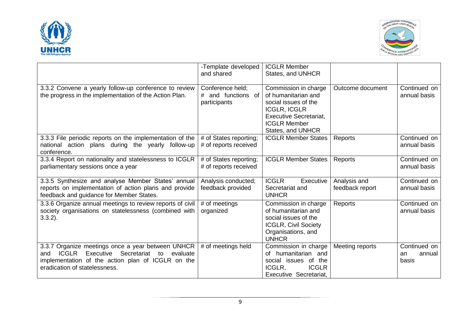



|                                                                                                                                                                                                              | -Template developed<br>and shared                      | <b>ICGLR Member</b><br>States, and UNHCR                                                                                                                                |                                 |                                       |
|--------------------------------------------------------------------------------------------------------------------------------------------------------------------------------------------------------------|--------------------------------------------------------|-------------------------------------------------------------------------------------------------------------------------------------------------------------------------|---------------------------------|---------------------------------------|
| 3.3.2 Convene a yearly follow-up conference to review<br>the progress in the implementation of the Action Plan.                                                                                              | Conference held;<br># and functions of<br>participants | Commission in charge<br>of humanitarian and<br>social issues of the<br><b>ICGLR, ICGLR</b><br><b>Executive Secretariat,</b><br><b>ICGLR Member</b><br>States, and UNHCR | Outcome document                | Continued on<br>annual basis          |
| 3.3.3 File periodic reports on the implementation of the<br>national action plans during the yearly follow-up<br>conference.                                                                                 | # of States reporting;<br># of reports received        | <b>ICGLR Member States</b>                                                                                                                                              | Reports                         | Continued on<br>annual basis          |
| 3.3.4 Report on nationality and statelessness to ICGLR<br>parliamentary sessions once a year                                                                                                                 | # of States reporting;<br># of reports received        | <b>ICGLR Member States</b>                                                                                                                                              | Reports                         | Continued on<br>annual basis          |
| 3.3.5 Synthesize and analyse Member States' annual<br>reports on implementation of action plans and provide<br>feedback and guidance for Member States.                                                      | Analysis conducted;<br>feedback provided               | <b>ICGLR</b><br>Executive<br>Secretariat and<br><b>UNHCR</b>                                                                                                            | Analysis and<br>feedback report | Continued on<br>annual basis          |
| 3.3.6 Organize annual meetings to review reports of civil<br>society organisations on statelessness (combined with<br>$3.3.2$ ).                                                                             | # of meetings<br>organized                             | Commission in charge<br>of humanitarian and<br>social issues of the<br><b>ICGLR, Civil Society</b><br>Organisations, and<br><b>UNHCR</b>                                | Reports                         | Continued on<br>annual basis          |
| 3.3.7 Organize meetings once a year between UNHCR<br><b>ICGLR</b><br>Secretariat<br>Executive<br>evaluate<br>to<br>and<br>implementation of the action plan of ICGLR on the<br>eradication of statelessness. | # of meetings held                                     | Commission in charge<br>of humanitarian and<br>social issues of the<br>ICGLR.<br><b>ICGLR</b><br>Executive Secretariat,                                                 | Meeting reports                 | Continued on<br>annual<br>an<br>basis |